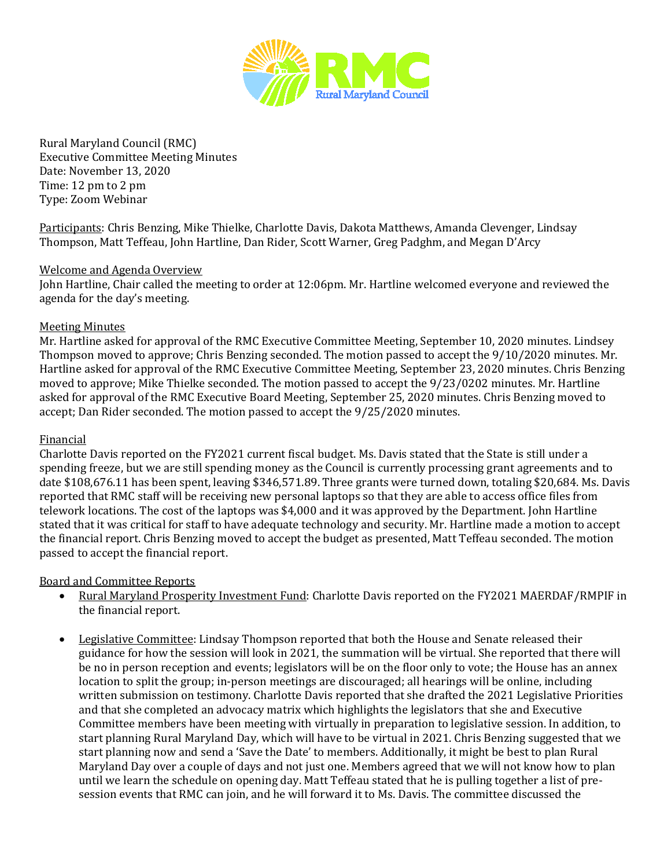

Rural Maryland Council (RMC) Executive Committee Meeting Minutes Date: November 13, 2020 Time: 12 pm to 2 pm Type: Zoom Webinar

Participants: Chris Benzing, Mike Thielke, Charlotte Davis, Dakota Matthews, Amanda Clevenger, Lindsay Thompson, Matt Teffeau, John Hartline, Dan Rider, Scott Warner, Greg Padghm, and Megan D'Arcy

## Welcome and Agenda Overview

John Hartline, Chair called the meeting to order at 12:06pm. Mr. Hartline welcomed everyone and reviewed the agenda for the day's meeting.

## Meeting Minutes

Mr. Hartline asked for approval of the RMC Executive Committee Meeting, September 10, 2020 minutes. Lindsey Thompson moved to approve; Chris Benzing seconded. The motion passed to accept the 9/10/2020 minutes. Mr. Hartline asked for approval of the RMC Executive Committee Meeting, September 23, 2020 minutes. Chris Benzing moved to approve; Mike Thielke seconded. The motion passed to accept the 9/23/0202 minutes. Mr. Hartline asked for approval of the RMC Executive Board Meeting, September 25, 2020 minutes. Chris Benzing moved to accept; Dan Rider seconded. The motion passed to accept the 9/25/2020 minutes.

## Financial

Charlotte Davis reported on the FY2021 current fiscal budget. Ms. Davis stated that the State is still under a spending freeze, but we are still spending money as the Council is currently processing grant agreements and to date \$108,676.11 has been spent, leaving \$346,571.89. Three grants were turned down, totaling \$20,684. Ms. Davis reported that RMC staff will be receiving new personal laptops so that they are able to access office files from telework locations. The cost of the laptops was \$4,000 and it was approved by the Department. John Hartline stated that it was critical for staff to have adequate technology and security. Mr. Hartline made a motion to accept the financial report. Chris Benzing moved to accept the budget as presented, Matt Teffeau seconded. The motion passed to accept the financial report.

Board and Committee Reports<br>• Rural Marvland Prospe

- Rural Maryland Prosperity Investment Fund: Charlotte Davis reported on the FY2021 MAERDAF/RMPIF in the financial report.
- Legislative Committee: Lindsay Thompson reported that both the House and Senate released their guidance for how the session will look in 2021, the summation will be virtual. She reported that there will be no in person reception and events; legislators will be on the floor only to vote; the House has an annex location to split the group; in-person meetings are discouraged; all hearings will be online, including written submission on testimony. Charlotte Davis reported that she drafted the 2021 Legislative Priorities and that she completed an advocacy matrix which highlights the legislators that she and Executive Committee members have been meeting with virtually in preparation to legislative session. In addition, to start planning Rural Maryland Day, which will have to be virtual in 2021. Chris Benzing suggested that we start planning now and send a 'Save the Date' to members. Additionally, it might be best to plan Rural Maryland Day over a couple of days and not just one. Members agreed that we will not know how to plan until we learn the schedule on opening day. Matt Teffeau stated that he is pulling together a list of presession events that RMC can join, and he will forward it to Ms. Davis. The committee discussed the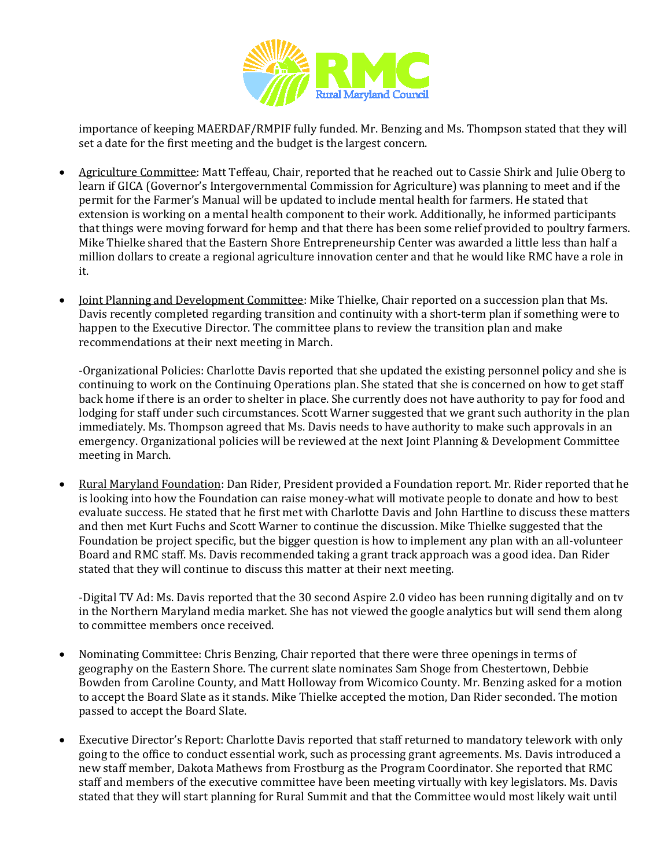

importance of keeping MAERDAF/RMPIF fully funded. Mr. Benzing and Ms. Thompson stated that they will set a date for the first meeting and the budget is the largest concern.

- Agriculture Committee: Matt Teffeau, Chair, reported that he reached out to Cassie Shirk and Julie Oberg to learn if GICA (Governor's Intergovernmental Commission for Agriculture) was planning to meet and if the permit for the Farmer's Manual will be updated to include mental health for farmers. He stated that extension is working on a mental health component to their work. Additionally, he informed participants that things were moving forward for hemp and that there has been some relief provided to poultry farmers. Mike Thielke shared that the Eastern Shore Entrepreneurship Center was awarded a little less than half a million dollars to create a regional agriculture innovation center and that he would like RMC have a role in it.
- Joint Planning and Development Committee: Mike Thielke, Chair reported on a succession plan that Ms. Davis recently completed regarding transition and continuity with a short-term plan if something were to happen to the Executive Director. The committee plans to review the transition plan and make recommendations at their next meeting in March.

-Organizational Policies: Charlotte Davis reported that she updated the existing personnel policy and she is continuing to work on the Continuing Operations plan. She stated that she is concerned on how to get staff back home if there is an order to shelter in place. She currently does not have authority to pay for food and lodging for staff under such circumstances. Scott Warner suggested that we grant such authority in the plan immediately. Ms. Thompson agreed that Ms. Davis needs to have authority to make such approvals in an emergency. Organizational policies will be reviewed at the next Joint Planning & Development Committee meeting in March.

• Rural Maryland Foundation: Dan Rider, President provided a Foundation report. Mr. Rider reported that he is looking into how the Foundation can raise money-what will motivate people to donate and how to best evaluate success. He stated that he first met with Charlotte Davis and John Hartline to discuss these matters and then met Kurt Fuchs and Scott Warner to continue the discussion. Mike Thielke suggested that the Foundation be project specific, but the bigger question is how to implement any plan with an all-volunteer Board and RMC staff. Ms. Davis recommended taking a grant track approach was a good idea. Dan Rider stated that they will continue to discuss this matter at their next meeting.

-Digital TV Ad: Ms. Davis reported that the 30 second Aspire 2.0 video has been running digitally and on tv in the Northern Maryland media market. She has not viewed the google analytics but will send them along to committee members once received.

- Nominating Committee: Chris Benzing, Chair reported that there were three openings in terms of geography on the Eastern Shore. The current slate nominates Sam Shoge from Chestertown, Debbie Bowden from Caroline County, and Matt Holloway from Wicomico County. Mr. Benzing asked for a motion to accept the Board Slate as it stands. Mike Thielke accepted the motion, Dan Rider seconded. The motion passed to accept the Board Slate.
- Executive Director's Report: Charlotte Davis reported that staff returned to mandatory telework with only going to the office to conduct essential work, such as processing grant agreements. Ms. Davis introduced a new staff member, Dakota Mathews from Frostburg as the Program Coordinator. She reported that RMC staff and members of the executive committee have been meeting virtually with key legislators. Ms. Davis stated that they will start planning for Rural Summit and that the Committee would most likely wait until